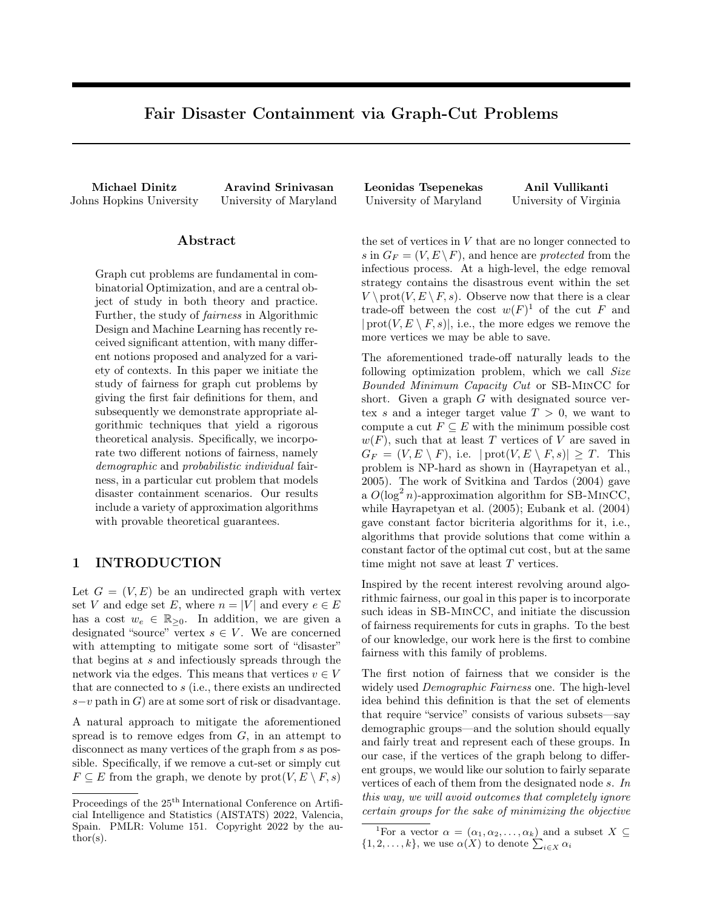# Fair Disaster Containment via Graph-Cut Problems

### Abstract

Graph cut problems are fundamental in combinatorial Optimization, and are a central object of study in both theory and practice. Further, the study of fairness in Algorithmic Design and Machine Learning has recently received significant attention, with many different notions proposed and analyzed for a variety of contexts. In this paper we initiate the study of fairness for graph cut problems by giving the first fair definitions for them, and subsequently we demonstrate appropriate algorithmic techniques that yield a rigorous theoretical analysis. Specifically, we incorporate two different notions of fairness, namely demographic and probabilistic individual fairness, in a particular cut problem that models disaster containment scenarios. Our results include a variety of approximation algorithms with provable theoretical guarantees.

# 1 INTRODUCTION

Let  $G = (V, E)$  be an undirected graph with vertex set V and edge set E, where  $n = |V|$  and every  $e \in E$ has a cost  $w_e \in \mathbb{R}_{\geq 0}$ . In addition, we are given a designated "source" vertex  $s \in V$ . We are concerned with attempting to mitigate some sort of "disaster" that begins at s and infectiously spreads through the network via the edges. This means that vertices  $v \in V$ that are connected to s (i.e., there exists an undirected s−v path in  $G$ ) are at some sort of risk or disadvantage.

A natural approach to mitigate the aforementioned spread is to remove edges from  $G$ , in an attempt to disconnect as many vertices of the graph from s as possible. Specifically, if we remove a cut-set or simply cut  $F \subseteq E$  from the graph, we denote by  $prot(V, E \setminus F, s)$ 

Michael Dinitz Aravind Srinivasan Leonidas Tsepenekas Anil Vullikanti Johns Hopkins University University of Maryland University of Maryland University of Virginia

> the set of vertices in V that are no longer connected to s in  $G_F = (V, E \setminus F)$ , and hence are *protected* from the infectious process. At a high-level, the edge removal strategy contains the disastrous event within the set  $V \setminus \text{prot}(V, E \setminus F, s)$ . Observe now that there is a clear trade-off between the cost  $w(F)^1$  $w(F)^1$  of the cut F and  $|{\rm prot}(V, E \setminus F, s)|$ , i.e., the more edges we remove the more vertices we may be able to save.

> The aforementioned trade-off naturally leads to the following optimization problem, which we call Size Bounded Minimum Capacity Cut or SB-MinCC for short. Given a graph G with designated source vertex s and a integer target value  $T > 0$ , we want to compute a cut  $F \subseteq E$  with the minimum possible cost  $w(F)$ , such that at least T vertices of V are saved in  $G_F = (V, E \setminus F)$ , i.e.  $|\text{prot}(V, E \setminus F, s)| \geq T$ . This problem is NP-hard as shown in [\(Hayrapetyan et al.,](#page-9-0) [2005\)](#page-9-0). The work of [Svitkina and Tardos](#page-9-1) [\(2004\)](#page-9-1) gave a  $O(\log^2 n)$ -approximation algorithm for SB-MINCC, while [Hayrapetyan et al.](#page-9-0) [\(2005\)](#page-9-0); [Eubank et al.](#page-9-2) [\(2004\)](#page-9-2) gave constant factor bicriteria algorithms for it, i.e., algorithms that provide solutions that come within a constant factor of the optimal cut cost, but at the same time might not save at least T vertices.

> Inspired by the recent interest revolving around algorithmic fairness, our goal in this paper is to incorporate such ideas in SB-MinCC, and initiate the discussion of fairness requirements for cuts in graphs. To the best of our knowledge, our work here is the first to combine fairness with this family of problems.

> The first notion of fairness that we consider is the widely used Demographic Fairness one. The high-level idea behind this definition is that the set of elements that require "service" consists of various subsets—say demographic groups—and the solution should equally and fairly treat and represent each of these groups. In our case, if the vertices of the graph belong to different groups, we would like our solution to fairly separate vertices of each of them from the designated node s. In this way, we will avoid outcomes that completely ignore certain groups for the sake of minimizing the objective

Proceedings of the  $25<sup>th</sup>$  International Conference on Artificial Intelligence and Statistics (AISTATS) 2022, Valencia, Spain. PMLR: Volume 151. Copyright 2022 by the au- $\text{thor}(s)$ .

<span id="page-0-0"></span><sup>&</sup>lt;sup>1</sup>For a vector  $\alpha = (\alpha_1, \alpha_2, \ldots, \alpha_k)$  and a subset  $X \subseteq$  $\{1, 2, \ldots, k\}$ , we use  $\alpha(X)$  to denote  $\sum_{i \in X} \alpha_i$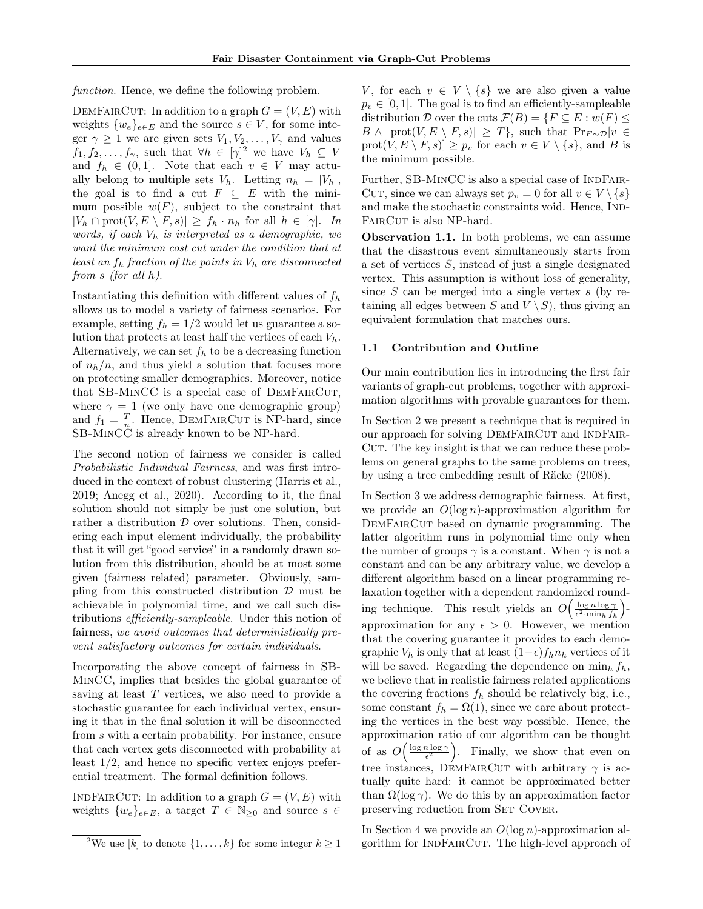function. Hence, we define the following problem.

DEMFAIRCUT: In addition to a graph  $G = (V, E)$  with weights  $\{w_e\}_{e \in E}$  and the source  $s \in V$ , for some integer  $\gamma \geq 1$  we are given sets  $V_1, V_2, \ldots, V_{\gamma}$  and values  $f_1, f_2, \ldots, f_{\gamma}$  $f_1, f_2, \ldots, f_{\gamma}$  $f_1, f_2, \ldots, f_{\gamma}$ , such that  $\forall h \in [\gamma]^2$  we have  $V_h \subseteq V$ and  $f_h \in (0,1]$ . Note that each  $v \in V$  may actually belong to multiple sets  $V_h$ . Letting  $n_h = |V_h|$ , the goal is to find a cut  $F \subseteq E$  with the minimum possible  $w(F)$ , subject to the constraint that  $|V_h \cap \text{prot}(V, E \setminus F, s)| \ge f_h \cdot n_h \text{ for all } h \in [\gamma].$  In words, if each  $V_h$  is interpreted as a demographic, we want the minimum cost cut under the condition that at least an  $f_h$  fraction of the points in  $V_h$  are disconnected from s (for all h).

Instantiating this definition with different values of  $f<sub>h</sub>$ allows us to model a variety of fairness scenarios. For example, setting  $f_h = 1/2$  would let us guarantee a solution that protects at least half the vertices of each  $V_h$ . Alternatively, we can set  $f_h$  to be a decreasing function of  $n_h/n$ , and thus yield a solution that focuses more on protecting smaller demographics. Moreover, notice that SB-MINCC is a special case of DEMFAIRCUT, where  $\gamma = 1$  (we only have one demographic group) and  $f_1 = \frac{T}{n}$ . Hence, DEMFAIRCUT is NP-hard, since SB-MinCC is already known to be NP-hard.

The second notion of fairness we consider is called Probabilistic Individual Fairness, and was first introduced in the context of robust clustering [\(Harris et al.,](#page-9-3) [2019;](#page-9-3) [Anegg et al., 2020\)](#page-9-4). According to it, the final solution should not simply be just one solution, but rather a distribution  $D$  over solutions. Then, considering each input element individually, the probability that it will get "good service" in a randomly drawn solution from this distribution, should be at most some given (fairness related) parameter. Obviously, sampling from this constructed distribution  $\mathcal D$  must be achievable in polynomial time, and we call such distributions efficiently-sampleable. Under this notion of fairness, we avoid outcomes that deterministically prevent satisfactory outcomes for certain individuals.

Incorporating the above concept of fairness in SB-MinCC, implies that besides the global guarantee of saving at least  $T$  vertices, we also need to provide a stochastic guarantee for each individual vertex, ensuring it that in the final solution it will be disconnected from s with a certain probability. For instance, ensure that each vertex gets disconnected with probability at least 1/2, and hence no specific vertex enjoys preferential treatment. The formal definition follows.

INDFAIRCUT: In addition to a graph  $G = (V, E)$  with weights  $\{w_e\}_{e \in E}$ , a target  $T \in \mathbb{N}_{\geq 0}$  and source  $s \in$ 

V, for each  $v \in V \setminus \{s\}$  we are also given a value  $p_v \in [0, 1]$ . The goal is to find an efficiently-sampleable distribution D over the cuts  $\mathcal{F}(B) = \{F \subseteq E : w(F) \leq$  $B \wedge |\text{prot}(V, E \setminus F, s)| \geq T\}, \text{ such that } \Pr_{F \sim \mathcal{D}}[v \in$  $\text{prot}(V, E \setminus F, s)] \geq p_v$  for each  $v \in V \setminus \{s\}$ , and B is the minimum possible.

Further, SB-MINCC is also a special case of INDFAIR-CUT, since we can always set  $p_v = 0$  for all  $v \in V \setminus \{s\}$ and make the stochastic constraints void. Hence, IND-FAIRCUT is also NP-hard.

Observation 1.1. In both problems, we can assume that the disastrous event simultaneously starts from a set of vertices S, instead of just a single designated vertex. This assumption is without loss of generality, since  $S$  can be merged into a single vertex  $s$  (by retaining all edges between S and  $V \setminus S$ , thus giving an equivalent formulation that matches ours.

#### 1.1 Contribution and Outline

Our main contribution lies in introducing the first fair variants of graph-cut problems, together with approximation algorithms with provable guarantees for them.

In Section [2](#page-2-0) we present a technique that is required in our approach for solving DEMFAIRCUT and INDFAIR-CUT. The key insight is that we can reduce these problems on general graphs to the same problems on trees, by using a tree embedding result of [Räcke](#page-9-5) [\(2008\)](#page-9-5).

In Section [3](#page-3-0) we address demographic fairness. At first, we provide an  $O(\log n)$ -approximation algorithm for DEMFAIRCUT based on dynamic programming. The latter algorithm runs in polynomial time only when the number of groups  $\gamma$  is a constant. When  $\gamma$  is not a constant and can be any arbitrary value, we develop a different algorithm based on a linear programming relaxation together with a dependent randomized rounding technique. This result yields an  $O\left(\frac{\log n \log \gamma}{\epsilon^2 \cdot \min_h f_h}\right)$ approximation for any  $\epsilon > 0$ . However, we mention that the covering guarantee it provides to each demographic  $V_h$  is only that at least  $(1-\epsilon)f_h n_h$  vertices of it will be saved. Regarding the dependence on  $\min_h f_h$ , we believe that in realistic fairness related applications the covering fractions  $f_h$  should be relatively big, i.e., some constant  $f_h = \Omega(1)$ , since we care about protecting the vertices in the best way possible. Hence, the approximation ratio of our algorithm can be thought of as  $O\left(\frac{\log n \log \gamma}{\epsilon^2}\right)$ . Finally, we show that even on tree instances, DEMFAIRCUT with arbitrary  $\gamma$  is actually quite hard: it cannot be approximated better than  $\Omega(\log \gamma)$ . We do this by an approximation factor preserving reduction from SET COVER.

In Section [4](#page-6-0) we provide an  $O(\log n)$ -approximation algorithm for IndFairCut. The high-level approach of

<span id="page-1-0"></span><sup>&</sup>lt;sup>2</sup>We use [k] to denote  $\{1, \ldots, k\}$  for some integer  $k \geq 1$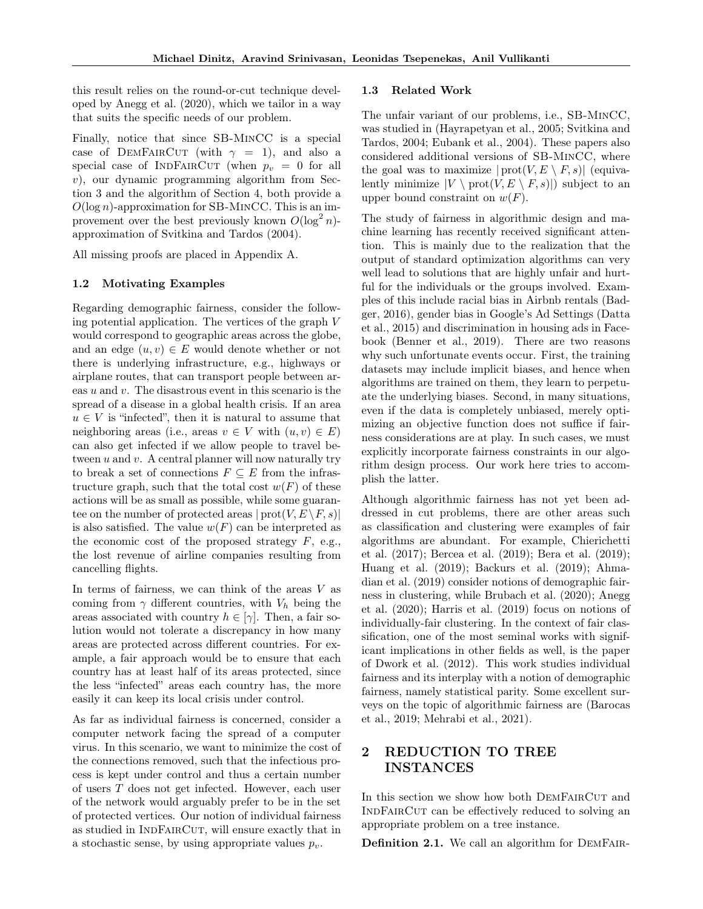this result relies on the round-or-cut technique developed by [Anegg et al.](#page-9-4) [\(2020\)](#page-9-4), which we tailor in a way that suits the specific needs of our problem.

Finally, notice that since SB-MinCC is a special case of DEMFAIRCUT (with  $\gamma = 1$ ), and also a special case of INDFAIRCUT (when  $p_v = 0$  for all  $v$ ), our dynamic programming algorithm from Section [3](#page-3-0) and the algorithm of Section [4,](#page-6-0) both provide a  $O(\log n)$ -approximation for SB-MINCC. This is an improvement over the best previously known  $O(\log^2 n)$ approximation of [Svitkina and Tardos](#page-9-1) [\(2004\)](#page-9-1).

All missing proofs are placed in Appendix [A.](#page-11-0)

### 1.2 Motivating Examples

Regarding demographic fairness, consider the following potential application. The vertices of the graph V would correspond to geographic areas across the globe, and an edge  $(u, v) \in E$  would denote whether or not there is underlying infrastructure, e.g., highways or airplane routes, that can transport people between areas u and v. The disastrous event in this scenario is the spread of a disease in a global health crisis. If an area  $u \in V$  is "infected", then it is natural to assume that neighboring areas (i.e., areas  $v \in V$  with  $(u, v) \in E$ ) can also get infected if we allow people to travel between  $u$  and  $v$ . A central planner will now naturally try to break a set of connections  $F \subseteq E$  from the infrastructure graph, such that the total cost  $w(F)$  of these actions will be as small as possible, while some guarantee on the number of protected areas  $|\text{prot}(V, E \setminus F, s)|$ is also satisfied. The value  $w(F)$  can be interpreted as the economic cost of the proposed strategy  $F$ , e.g., the lost revenue of airline companies resulting from cancelling flights.

In terms of fairness, we can think of the areas  $V$  as coming from  $\gamma$  different countries, with  $V_h$  being the areas associated with country  $h \in [\gamma]$ . Then, a fair solution would not tolerate a discrepancy in how many areas are protected across different countries. For example, a fair approach would be to ensure that each country has at least half of its areas protected, since the less "infected" areas each country has, the more easily it can keep its local crisis under control.

As far as individual fairness is concerned, consider a computer network facing the spread of a computer virus. In this scenario, we want to minimize the cost of the connections removed, such that the infectious process is kept under control and thus a certain number of users T does not get infected. However, each user of the network would arguably prefer to be in the set of protected vertices. Our notion of individual fairness as studied in INDFAIRCUT, will ensure exactly that in a stochastic sense, by using appropriate values  $p_v$ .

#### 1.3 Related Work

The unfair variant of our problems, i.e., SB-MinCC, was studied in [\(Hayrapetyan et al., 2005;](#page-9-0) [Svitkina and](#page-9-1) [Tardos, 2004;](#page-9-1) [Eubank et al., 2004\)](#page-9-2). These papers also considered additional versions of SB-MinCC, where the goal was to maximize  $|\text{prot}(V, E \setminus F, s)|$  (equivalently minimize  $|V \setminus \text{prot}(V, E \setminus F, s)|$  subject to an upper bound constraint on  $w(F)$ .

The study of fairness in algorithmic design and machine learning has recently received significant attention. This is mainly due to the realization that the output of standard optimization algorithms can very well lead to solutions that are highly unfair and hurtful for the individuals or the groups involved. Examples of this include racial bias in Airbnb rentals [\(Bad](#page-9-6)[ger, 2016\)](#page-9-6), gender bias in Google's Ad Settings [\(Datta](#page-9-7) [et al., 2015\)](#page-9-7) and discrimination in housing ads in Facebook [\(Benner et al., 2019\)](#page-9-8). There are two reasons why such unfortunate events occur. First, the training datasets may include implicit biases, and hence when algorithms are trained on them, they learn to perpetuate the underlying biases. Second, in many situations, even if the data is completely unbiased, merely optimizing an objective function does not suffice if fairness considerations are at play. In such cases, we must explicitly incorporate fairness constraints in our algorithm design process. Our work here tries to accomplish the latter.

Although algorithmic fairness has not yet been addressed in cut problems, there are other areas such as classification and clustering were examples of fair algorithms are abundant. For example, [Chierichetti](#page-9-9) [et al.](#page-9-9) [\(2017\)](#page-9-9); [Bercea et al.](#page-9-10) [\(2019\)](#page-9-10); [Bera et al.](#page-9-11) [\(2019\)](#page-9-11); [Huang et al.](#page-9-12) [\(2019\)](#page-9-12); [Backurs et al.](#page-9-13) [\(2019\)](#page-9-13); [Ahma](#page-9-14)[dian et al.](#page-9-14) [\(2019\)](#page-9-14) consider notions of demographic fairness in clustering, while [Brubach et al.](#page-9-15) [\(2020\)](#page-9-15); [Anegg](#page-9-4) [et al.](#page-9-4) [\(2020\)](#page-9-4); [Harris et al.](#page-9-3) [\(2019\)](#page-9-3) focus on notions of individually-fair clustering. In the context of fair classification, one of the most seminal works with significant implications in other fields as well, is the paper of [Dwork et al.](#page-9-16) [\(2012\)](#page-9-16). This work studies individual fairness and its interplay with a notion of demographic fairness, namely statistical parity. Some excellent surveys on the topic of algorithmic fairness are [\(Barocas](#page-9-17) [et al., 2019;](#page-9-17) [Mehrabi et al., 2021\)](#page-9-18).

# <span id="page-2-0"></span>2 REDUCTION TO TREE INSTANCES

In this section we show how both DEMFAIRCUT and INDFAIRCUT can be effectively reduced to solving an appropriate problem on a tree instance.

Definition 2.1. We call an algorithm for DEMFAIR-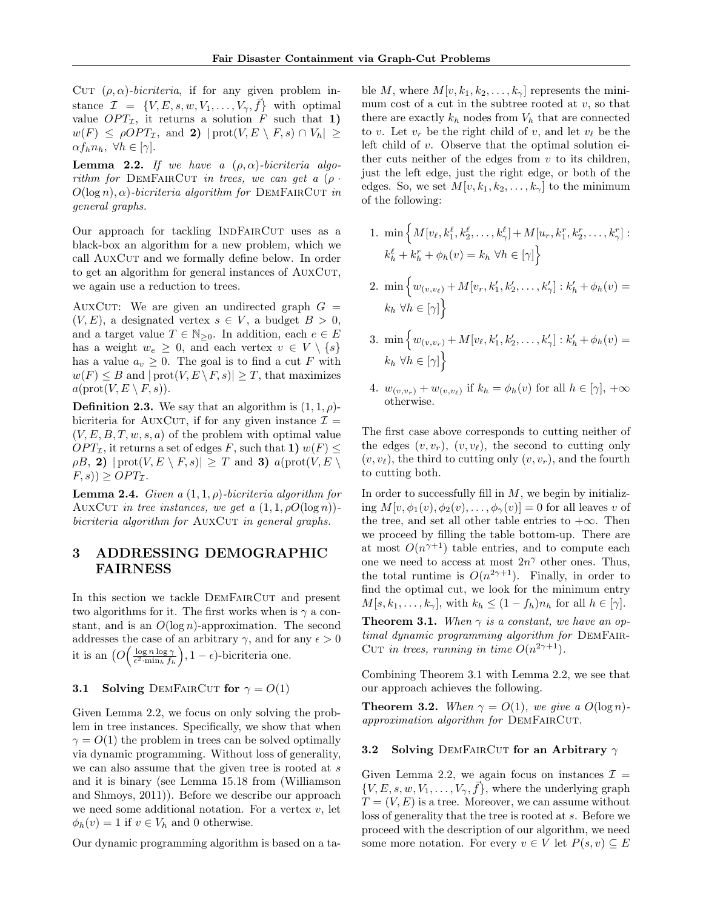CUT  $(\rho, \alpha)$ -bicriteria, if for any given problem instance  $\mathcal{I} = \{V, E, s, w, V_1, \ldots, V_{\gamma}, \vec{f}\}\$  with optimal value  $OPT_{\mathcal{I}}$ , it returns a solution F such that 1)  $w(F) \leq \rho OPT_{\mathcal{I}}$ , and 2)  $|\text{prot}(V, E \setminus F, s) \cap V_h| \geq$  $\alpha f_h n_h, \ \forall h \in [\gamma].$ 

<span id="page-3-1"></span>**Lemma 2.2.** If we have a  $(\rho, \alpha)$ -bicriteria algorithm for DEMFAIRCUT in trees, we can get a  $(\rho \cdot$  $O(\log n), \alpha$ )-bicriteria algorithm for DEMFAIRCUT in general graphs.

Our approach for tackling INDFAIRCUT uses as a black-box an algorithm for a new problem, which we call AUXCUT and we formally define below. In order to get an algorithm for general instances of AUXCUT, we again use a reduction to trees.

AUXCUT: We are given an undirected graph  $G =$  $(V, E)$ , a designated vertex  $s \in V$ , a budget  $B > 0$ , and a target value  $T \in \mathbb{N}_{\geq 0}$ . In addition, each  $e \in E$ has a weight  $w_e \geq 0$ , and each vertex  $v \in V \setminus \{s\}$ has a value  $a_v \geq 0$ . The goal is to find a cut F with  $w(F) \leq B$  and  $|\text{prot}(V, E \setminus F, s)| \geq T$ , that maximizes  $a(\text{prot}(V, E \setminus F, s)).$ 

**Definition 2.3.** We say that an algorithm is  $(1, 1, \rho)$ bicriteria for AUXCUT, if for any given instance  $\mathcal{I} =$  $(V, E, B, T, w, s, a)$  of the problem with optimal value  $OPT_{\mathcal{I}}$ , it returns a set of edges F, such that 1)  $w(F) \leq$  $\rho B$ , 2)  $|\text{prot}(V, E \setminus F, s)| \geq T$  and 3)  $a(\text{prot}(V, E \setminus F, s))$  $(F, s)$ )  $\geq$   $OPT_{\mathcal{I}}$ .

<span id="page-3-3"></span>**Lemma 2.4.** Given a  $(1, 1, \rho)$ -bicriteria algorithm for AUXCUT in tree instances, we get a  $(1, 1, \rho O(\log n))$  $bicriterion$  algorithm for  $AUXCUT$  in general graphs.

# <span id="page-3-0"></span>3 ADDRESSING DEMOGRAPHIC FAIRNESS

In this section we tackle DEMFAIRCUT and present two algorithms for it. The first works when is  $\gamma$  a constant, and is an  $O(\log n)$ -approximation. The second addresses the case of an arbitrary  $\gamma$ , and for any  $\epsilon > 0$ it is an  $\left(O\left(\frac{\log n \log \gamma}{\epsilon^2 \cdot \min_h f_h}\right), 1 - \epsilon\right)$ -bicriteria one.

## 3.1 Solving DEMFAIRCUT for  $\gamma = O(1)$

Given Lemma [2.2,](#page-3-1) we focus on only solving the problem in tree instances. Specifically, we show that when  $\gamma = O(1)$  the problem in trees can be solved optimally via dynamic programming. Without loss of generality, we can also assume that the given tree is rooted at s and it is binary (see Lemma 15.18 from [\(Williamson](#page-10-0) [and Shmoys, 2011\)](#page-10-0)). Before we describe our approach we need some additional notation. For a vertex  $v$ , let  $\phi_h(v) = 1$  if  $v \in V_h$  and 0 otherwise.

Our dynamic programming algorithm is based on a ta-

ble M, where  $M[v, k_1, k_2, \ldots, k_\gamma]$  represents the minimum cost of a cut in the subtree rooted at  $v$ , so that there are exactly  $k_h$  nodes from  $V_h$  that are connected to v. Let  $v_r$  be the right child of v, and let  $v_\ell$  be the left child of v. Observe that the optimal solution either cuts neither of the edges from  $v$  to its children, just the left edge, just the right edge, or both of the edges. So, we set  $M[v, k_1, k_2, \ldots, k_{\gamma}]$  to the minimum of the following:

- 1. min  $\left\{ M[v_{\ell}, k_1^{\ell}, k_2^{\ell}, \ldots, k_{\gamma}^{\ell}]+M[u_r, k_1^r, k_2^r, \ldots, k_{\gamma}^r]:\right.$  $k_h^{\ell} + k_h^r + \phi_h(v) = k_h \ \forall h \in [\gamma]$
- 2.  $\min \left\{ w_{(v,v_\ell)} + M[v_r, k'_1, k'_2, \ldots, k'_{\gamma}] : k'_h + \phi_h(v) = \right\}$  $k_h \ \forall h \in [\gamma]$
- 3. min  $\begin{cases} w_{(v,v_r)} + M[v_\ell, k'_1, k'_2, \ldots, k'_{\gamma}] : k'_h + \phi_h(v) = 0 \end{cases}$  $k_h \ \forall h \in [\gamma]$
- 4.  $w_{(v,v_r)} + w_{(v,v_\ell)}$  if  $k_h = \phi_h(v)$  for all  $h \in [\gamma], +\infty$ otherwise.

The first case above corresponds to cutting neither of the edges  $(v, v_r)$ ,  $(v, v_{\ell})$ , the second to cutting only  $(v, v_{\ell})$ , the third to cutting only  $(v, v_r)$ , and the fourth to cutting both.

In order to successfully fill in  $M$ , we begin by initializing  $M[v, \phi_1(v), \phi_2(v), \dots, \phi_{\gamma}(v)] = 0$  for all leaves v of the tree, and set all other table entries to  $+\infty$ . Then we proceed by filling the table bottom-up. There are at most  $O(n^{\gamma+1})$  table entries, and to compute each one we need to access at most  $2n^{\gamma}$  other ones. Thus, the total runtime is  $O(n^{2\gamma+1})$ . Finally, in order to find the optimal cut, we look for the minimum entry  $M[s, k_1, \ldots, k_\gamma],$  with  $k_h \leq (1 - f_h)n_h$  for all  $h \in [\gamma].$ 

<span id="page-3-2"></span>**Theorem 3.1.** When  $\gamma$  is a constant, we have an optimal dynamic programming algorithm for DEMFAIR-CUT in trees, running in time  $O(n^{2\gamma+1})$ .

Combining Theorem [3.1](#page-3-2) with Lemma [2.2,](#page-3-1) we see that our approach achieves the following.

**Theorem 3.2.** When  $\gamma = O(1)$ , we give a  $O(\log n)$ approximation algorithm for DEMFAIRCUT.

#### <span id="page-3-4"></span>3.2 Solving DEMFAIRCUT for an Arbitrary  $\gamma$

Given Lemma [2.2,](#page-3-1) we again focus on instances  $\mathcal{I} =$  $\{V, E, s, w, V_1, \ldots, V_{\gamma}, \vec{f}\},\$  where the underlying graph  $T = (V, E)$  is a tree. Moreover, we can assume without loss of generality that the tree is rooted at s. Before we proceed with the description of our algorithm, we need some more notation. For every  $v \in V$  let  $P(s, v) \subseteq E$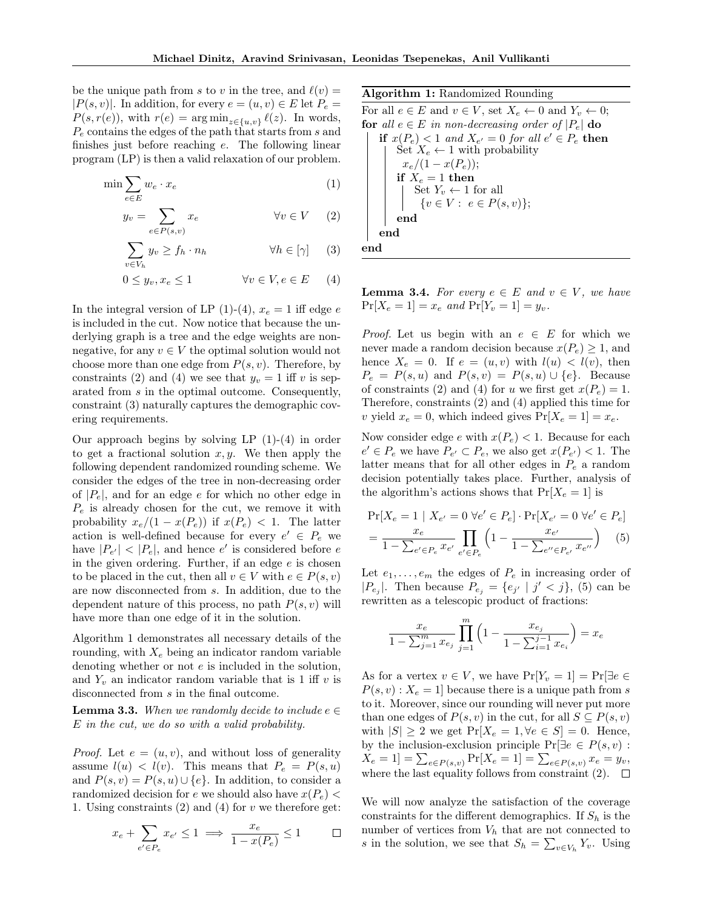be the unique path from s to v in the tree, and  $\ell(v) =$  $|P(s, v)|$ . In addition, for every  $e = (u, v) \in E$  let  $P_e =$  $P(s, r(e))$ , with  $r(e) = \arg \min_{z \in \{u, v\}} \ell(z)$ . In words,  $P_e$  contains the edges of the path that starts from s and finishes just before reaching e. The following linear program (LP) is then a valid relaxation of our problem.

$$
\min \sum_{e \in E} w_e \cdot x_e \tag{1}
$$

$$
y_v = \sum_{e \in P(s,v)} x_e \qquad \forall v \in V \quad (2)
$$

$$
\sum_{v \in V_h} y_v \ge f_h \cdot n_h \qquad \forall h \in [\gamma] \qquad (3)
$$

$$
0 \le y_v, x_e \le 1 \qquad \forall v \in V, e \in E \qquad (4)
$$

In the integral version of LP [\(1\)](#page-4-0)-[\(4\)](#page-4-1),  $x_e = 1$  iff edge e is included in the cut. Now notice that because the underlying graph is a tree and the edge weights are nonnegative, for any  $v \in V$  the optimal solution would not choose more than one edge from  $P(s, v)$ . Therefore, by constraints [\(2\)](#page-4-2) and [\(4\)](#page-4-1) we see that  $y_v = 1$  iff v is separated from s in the optimal outcome. Consequently, constraint [\(3\)](#page-4-3) naturally captures the demographic covering requirements.

Our approach begins by solving LP  $(1)-(4)$  $(1)-(4)$  $(1)-(4)$  in order to get a fractional solution  $x, y$ . We then apply the following dependent randomized rounding scheme. We consider the edges of the tree in non-decreasing order of  $|P_e|$ , and for an edge e for which no other edge in  $P_e$  is already chosen for the cut, we remove it with probability  $x_e/(1-x(P_e))$  if  $x(P_e) < 1$ . The latter action is well-defined because for every  $e' \in P_e$  we have  $|P_{e'}|$  <  $|P_e|$ , and hence  $e'$  is considered before  $e$ in the given ordering. Further, if an edge  $e$  is chosen to be placed in the cut, then all  $v \in V$  with  $e \in P(s, v)$ are now disconnected from s. In addition, due to the dependent nature of this process, no path  $P(s, v)$  will have more than one edge of it in the solution.

Algorithm [1](#page-4-4) demonstrates all necessary details of the rounding, with  $X_e$  being an indicator random variable denoting whether or not e is included in the solution, and  $Y_v$  an indicator random variable that is 1 iff v is disconnected from s in the final outcome.

**Lemma 3.3.** When we randomly decide to include  $e \in \mathbb{R}$ E in the cut, we do so with a valid probability.

*Proof.* Let  $e = (u, v)$ , and without loss of generality assume  $l(u) < l(v)$ . This means that  $P_e = P(s, u)$ and  $P(s, v) = P(s, u) \cup \{e\}$ . In addition, to consider a randomized decision for e we should also have  $x(P_e)$  < 1. Using constraints  $(2)$  and  $(4)$  for v we therefore get:

$$
x_e + \sum_{e' \in P_e} x_{e'} \leq 1 \implies \frac{x_e}{1-x(P_e)} \leq 1 \qquad \Box
$$

Algorithm 1: Randomized Rounding

<span id="page-4-0"></span>For all  $e \in E$  and  $v \in V$ , set  $X_e \leftarrow 0$  and  $Y_v \leftarrow 0$ ; for all  $e \in E$  in non-decreasing order of  $|P_e|$  do if  $x(P_e) < 1$  and  $X_{e'} = 0$  for all  $e' \in P_e$  then Set  $X_e \leftarrow 1$  with probability  $x_e/(1-x(P_e))$ ; if  $X_e = 1$  then Set  $Y_v \leftarrow 1$  for all  $\{v \in V : e \in P(s, v)\};\$ end end end

<span id="page-4-6"></span><span id="page-4-4"></span><span id="page-4-3"></span><span id="page-4-2"></span><span id="page-4-1"></span>**Lemma 3.4.** For every  $e \in E$  and  $v \in V$ , we have  $Pr[X_e = 1] = x_e$  and  $Pr[Y_v = 1] = y_v$ .

*Proof.* Let us begin with an  $e \in E$  for which we never made a random decision because  $x(P_e) \geq 1$ , and hence  $X_e = 0$ . If  $e = (u, v)$  with  $l(u) < l(v)$ , then  $P_e = P(s, u)$  and  $P(s, v) = P(s, u) \cup \{e\}$ . Because of constraints [\(2\)](#page-4-2) and [\(4\)](#page-4-1) for u we first get  $x(P_e) = 1$ . Therefore, constraints [\(2\)](#page-4-2) and [\(4\)](#page-4-1) applied this time for v yield  $x_e = 0$ , which indeed gives  $Pr[X_e = 1] = x_e$ .

Now consider edge e with  $x(P_e) < 1$ . Because for each  $e' \in P_e$  we have  $P_{e'} \subset P_e$ , we also get  $x(P_{e'}) < 1$ . The latter means that for all other edges in  $P_e$  a random decision potentially takes place. Further, analysis of the algorithm's actions shows that  $Pr[X_e = 1]$  is

$$
\Pr[X_e = 1 \mid X_{e'} = 0 \ \forall e' \in P_e] \cdot \Pr[X_{e'} = 0 \ \forall e' \in P_e]
$$

$$
= \frac{x_e}{1 - \sum_{e' \in P_e} x_{e'}} \prod_{e' \in P_e} \left(1 - \frac{x_{e'}}{1 - \sum_{e' \in P_{e'}} x_{e''}}\right) \tag{5}
$$

Let  $e_1, \ldots, e_m$  the edges of  $P_e$  in increasing order of  $|P_{e_j}|$ . Then because  $P_{e_j} = \{e_{j'} | j' < j\},$  [\(5\)](#page-4-5) can be rewritten as a telescopic product of fractions:

<span id="page-4-5"></span>
$$
\frac{x_e}{1 - \sum_{j=1}^m x_{e_j}} \prod_{j=1}^m \left( 1 - \frac{x_{e_j}}{1 - \sum_{i=1}^{j-1} x_{e_i}} \right) = x_e
$$

As for a vertex  $v \in V$ , we have  $Pr[Y_v = 1] = Pr[\exists e \in V]$  $P(s, v)$ :  $X_e = 1$  because there is a unique path from s to it. Moreover, since our rounding will never put more than one edges of  $P(s, v)$  in the cut, for all  $S \subseteq P(s, v)$ with  $|S| \geq 2$  we get  $Pr[X_e = 1, \forall e \in S] = 0$ . Hence, by the inclusion-exclusion principle  $Pr[\exists e \in P(s, v)$ :  $X_e = 1] = \sum_{e \in P(s,v)} Pr[X_e = 1] = \sum_{e \in P(s,v)} x_e = y_v,$ where the last equality follows from constraint [\(2\)](#page-4-2).  $\Box$ 

We will now analyze the satisfaction of the coverage constraints for the different demographics. If  $S_h$  is the number of vertices from  $V<sub>h</sub>$  that are not connected to s in the solution, we see that  $S_h = \sum_{v \in V_h} Y_v$ . Using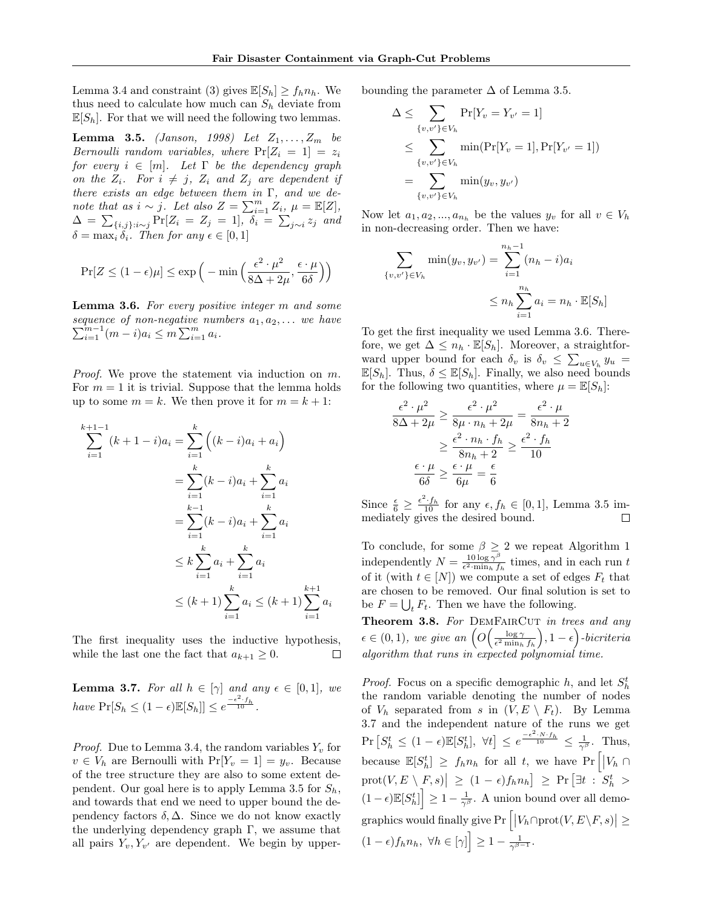Lemma [3.4](#page-4-6) and constraint [\(3\)](#page-4-3) gives  $\mathbb{E}[S_h] \geq f_h n_h$ . We thus need to calculate how much can  $S_h$  deviate from  $\mathbb{E}[S_h]$ . For that we will need the following two lemmas.

<span id="page-5-0"></span>**Lemma 3.5.** [\(Janson, 1998\)](#page-9-19) Let  $Z_1, ..., Z_m$  be Bernoulli random variables, where  $Pr[Z_i = 1] = z_i$ for every  $i \in [m]$ . Let  $\Gamma$  be the dependency graph on the  $Z_i$ . For  $i \neq j$ ,  $Z_i$  and  $Z_j$  are dependent if there exists an edge between them in Γ, and we denote that as  $i \sim j$ . Let also  $Z = \sum_{i=1}^{m} Z_i$ ,  $\mu = \mathbb{E}[Z]$ ,  $\Delta = \sum_{\{i,j\}:i \sim j} \Pr[Z_i = Z_j = 1], \; \delta_i = \sum_{j \sim i} z_j$  and  $\delta = \max_i \delta_i$ . Then for any  $\epsilon \in [0, 1]$ 

$$
\Pr[Z \le (1 - \epsilon)\mu] \le \exp\Big(-\min\Big(\frac{\epsilon^2 \cdot \mu^2}{8\Delta + 2\mu}, \frac{\epsilon \cdot \mu}{6\delta}\Big)\Big)
$$

<span id="page-5-1"></span>**Lemma 3.6.** For every positive integer m and some  $\sum_{i=1}^{m-1} (m-i)a_i \leq m \sum_{i=1}^{m} a_i.$ sequence of non-negative numbers  $a_1, a_2, \ldots$  we have

*Proof.* We prove the statement via induction on m. For  $m = 1$  it is trivial. Suppose that the lemma holds up to some  $m = k$ . We then prove it for  $m = k + 1$ :

$$
\sum_{i=1}^{k+1-1} (k+1-i)a_i = \sum_{i=1}^{k} ((k-i)a_i + a_i)
$$
  
= 
$$
\sum_{i=1}^{k} (k-i)a_i + \sum_{i=1}^{k} a_i
$$
  
= 
$$
\sum_{i=1}^{k-1} (k-i)a_i + \sum_{i=1}^{k} a_i
$$
  

$$
\leq k \sum_{i=1}^{k} a_i + \sum_{i=1}^{k} a_i
$$
  

$$
\leq (k+1) \sum_{i=1}^{k} a_i \leq (k+1) \sum_{i=1}^{k+1} a_i
$$

The first inequality uses the inductive hypothesis, while the last one the fact that  $a_{k+1} \geq 0$ .  $\Box$ 

<span id="page-5-2"></span>**Lemma 3.7.** For all  $h \in [\gamma]$  and any  $\epsilon \in [0,1]$ , we have  $Pr[S_h \leq (1 - \epsilon) \mathbb{E}[S_h]] \leq e^{\frac{-\epsilon^2 \cdot f_h}{10}}$ .

*Proof.* Due to Lemma [3.4,](#page-4-6) the random variables  $Y_v$  for  $v \in V_h$  are Bernoulli with  $Pr[Y_v = 1] = y_v$ . Because of the tree structure they are also to some extent de-pendent. Our goal here is to apply Lemma [3.5](#page-5-0) for  $S_h$ , and towards that end we need to upper bound the dependency factors  $\delta$ ,  $\Delta$ . Since we do not know exactly the underlying dependency graph  $\Gamma$ , we assume that all pairs  $Y_v, Y_{v'}$  are dependent. We begin by upperbounding the parameter  $\Delta$  of Lemma [3.5.](#page-5-0)

$$
\Delta \leq \sum_{\{v,v'\} \in V_h} \Pr[Y_v = Y_{v'} = 1] \n\leq \sum_{\{v,v'\} \in V_h} \min(\Pr[Y_v = 1], \Pr[Y_{v'} = 1]) \n= \sum_{\{v,v'\} \in V_h} \min(y_v, y_{v'})
$$

Now let  $a_1, a_2, ..., a_{n_h}$  be the values  $y_v$  for all  $v \in V_h$ in non-decreasing order. Then we have:

$$
\sum_{\{v,v'\}\in V_h} \min(y_v, y_{v'}) = \sum_{i=1}^{n_h - 1} (n_h - i)a_i
$$
  

$$
\le n_h \sum_{i=1}^{n_h} a_i = n_h \cdot \mathbb{E}[S_h]
$$

To get the first inequality we used Lemma [3.6.](#page-5-1) Therefore, we get  $\Delta \leq n_h \cdot \mathbb{E}[S_h]$ . Moreover, a straightforward upper bound for each  $\delta_v$  is  $\delta_v \leq \sum_{u \in V_h} y_u$  $\mathbb{E}[S_h]$ . Thus,  $\delta \leq \mathbb{E}[S_h]$ . Finally, we also need bounds for the following two quantities, where  $\mu = \mathbb{E}[S_h]$ :

$$
\frac{\epsilon^2 \cdot \mu^2}{8\Delta + 2\mu} \ge \frac{\epsilon^2 \cdot \mu^2}{8\mu \cdot n_h + 2\mu} = \frac{\epsilon^2 \cdot \mu}{8n_h + 2}
$$

$$
\ge \frac{\epsilon^2 \cdot n_h \cdot f_h}{8n_h + 2} \ge \frac{\epsilon^2 \cdot f_h}{10}
$$

$$
\frac{\epsilon \cdot \mu}{6\delta} \ge \frac{\epsilon \cdot \mu}{6\mu} = \frac{\epsilon}{6}
$$

Since  $\frac{\epsilon}{6} \geq \frac{\epsilon^2 \cdot f_h}{10}$  for any  $\epsilon, f_h \in [0, 1]$ , Lemma [3.5](#page-5-0) immediately gives the desired bound.

To conclude, for some  $\beta \geq 2$  we repeat Algorithm [1](#page-4-4) independently  $N = \frac{10 \log \gamma^{\beta}}{\epsilon^2 \cdot \min_{\gamma} f}$  $\frac{10 \log \gamma^2}{\epsilon^2 \cdot \min_h f_h}$  times, and in each run t of it (with  $t \in [N]$ ) we compute a set of edges  $F_t$  that are chosen to be removed. Our final solution is set to be  $F = \bigcup_t F_t$ . Then we have the following.

<span id="page-5-3"></span>Theorem 3.8. For DEMFAIRCUT in trees and any  $\epsilon \in (0,1)$ , we give an  $\left(O\left(\frac{\log \gamma}{\epsilon^2 \min_h f_h}\right), 1-\epsilon\right)$ -bicriteria algorithm that runs in expected polynomial time.

*Proof.* Focus on a specific demographic h, and let  $S_h^t$ the random variable denoting the number of nodes of  $V_h$  separated from s in  $(V, E \setminus F_t)$ . By Lemma [3.7](#page-5-2) and the independent nature of the runs we get  $\Pr\left[S_h^t \leq (1-\epsilon)\mathbb{E}[S_h^t], \ \forall t\right] \leq e^{\frac{-\epsilon^2 \cdot N \cdot f_h}{10}} \leq \frac{1}{\gamma^{\beta}}.$  Thus, because  $\mathbb{E}[S_h^t] \geq f_h n_h$  for all t, we have  $Pr\left[|V_h \cap$  $\left|\operatorname{prot}(V, E \setminus F, s)\right| \ge (1 - \epsilon) f_h n_h \supseteq \Pr\left[\exists t : S_h^t > \epsilon \right]$  $(1 - \epsilon) \mathbb{E}[S_h^t]$   $\geq 1 - \frac{1}{\gamma^{\beta}}$ . A union bound over all demo- $\text{graphics would finally give } \Pr\Big[\big|V_h \cap \text{prot}(V,E \backslash F,s)\big| \geq$  $(1-\epsilon)f_h n_h, \ \forall h \in [\gamma] \geq 1 - \frac{1}{\gamma^{\beta-1}}.$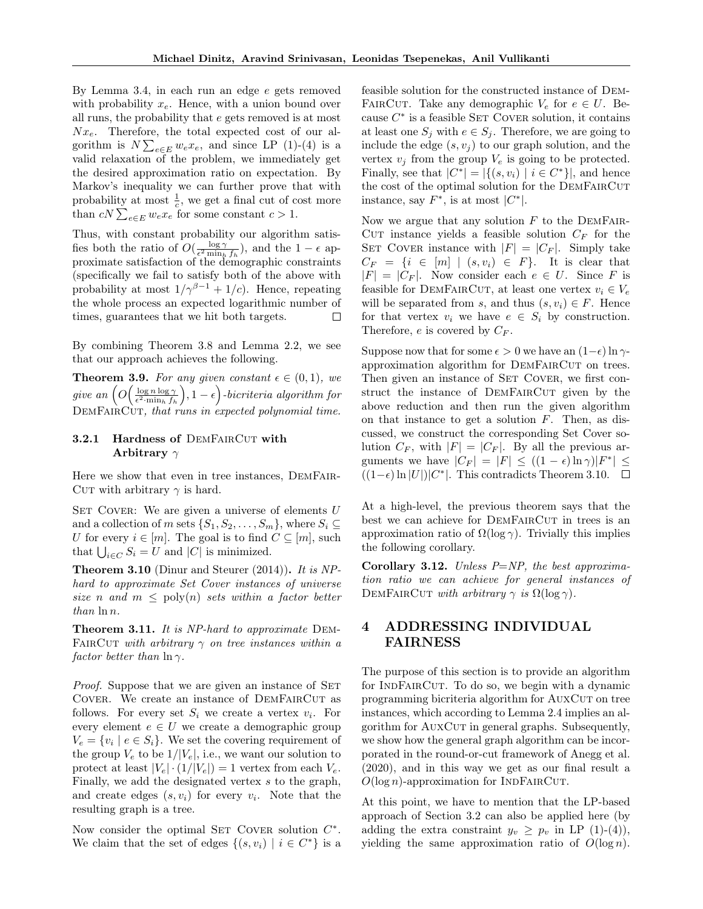By Lemma [3.4,](#page-4-6) in each run an edge  $e$  gets removed with probability  $x_e$ . Hence, with a union bound over all runs, the probability that e gets removed is at most  $Nx_e$ . Therefore, the total expected cost of our algorithm is  $N\sum_{e\in E} w_e x_e$ , and since LP [\(1\)](#page-4-0)-[\(4\)](#page-4-1) is a valid relaxation of the problem, we immediately get the desired approximation ratio on expectation. By Markov's inequality we can further prove that with probability at most  $\frac{1}{c}$ , we get a final cut of cost more than  $cN \sum_{e \in E} w_e x_e$  for some constant  $c > 1$ .

Thus, with constant probability our algorithm satisfies both the ratio of  $O(\frac{\log \gamma}{\epsilon^2 \min_h f_h})$ , and the  $1 - \epsilon$  approximate satisfaction of the demographic constraints (specifically we fail to satisfy both of the above with probability at most  $1/\gamma^{\beta-1} + 1/c$ ). Hence, repeating the whole process an expected logarithmic number of times, guarantees that we hit both targets.  $\Box$ 

By combining Theorem [3.8](#page-5-3) and Lemma [2.2,](#page-3-1) we see that our approach achieves the following.

**Theorem 3.9.** For any given constant  $\epsilon \in (0,1)$ , we give an  $\left(O\left(\frac{\log n \log \gamma}{\epsilon^2.\min_h f_h}\right), 1-\epsilon\right)$ -bicriteria algorithm for DEMFAIRCUT, that runs in expected polynomial time.

## 3.2.1 Hardness of DEMFAIRCUT with Arbitrary  $\gamma$

Here we show that even in tree instances, DemFair-CUT with arbitrary  $\gamma$  is hard.

SET COVER: We are given a universe of elements  $U$ and a collection of m sets  $\{S_1, S_2, \ldots, S_m\}$ , where  $S_i \subseteq$ U for every  $i \in [m]$ . The goal is to find  $C \subseteq [m]$ , such that  $\bigcup_{i \in C} S_i = U$  and  $|C|$  is minimized.

<span id="page-6-1"></span>**Theorem 3.10** [\(Dinur and Steurer](#page-9-20)  $(2014)$ ). It is NPhard to approximate Set Cover instances of universe size n and  $m \leq \text{poly}(n)$  sets within a factor better than  $\ln n$ .

Theorem 3.11. It is NP-hard to approximate DEM-FAIRCUT with arbitrary  $\gamma$  on tree instances within a factor better than  $\ln \gamma$ .

*Proof.* Suppose that we are given an instance of SET COVER. We create an instance of DEMFAIRCUT as follows. For every set  $S_i$  we create a vertex  $v_i$ . For every element  $e \in U$  we create a demographic group  $V_e = \{v_i \mid e \in S_i\}.$  We set the covering requirement of the group  $V_e$  to be  $1/|V_e|$ , i.e., we want our solution to protect at least  $|V_e| \cdot (1/|V_e|) = 1$  vertex from each  $V_e$ . Finally, we add the designated vertex s to the graph, and create edges  $(s, v_i)$  for every  $v_i$ . Note that the resulting graph is a tree.

Now consider the optimal SET COVER solution  $C^*$ . We claim that the set of edges  $\{(s, v_i) | i \in C^*\}$  is a feasible solution for the constructed instance of Dem-FAIRCUT. Take any demographic  $V_e$  for  $e \in U$ . Because  $C^*$  is a feasible SET COVER solution, it contains at least one  $S_j$  with  $e \in S_j$ . Therefore, we are going to include the edge  $(s, v_j)$  to our graph solution, and the vertex  $v_i$  from the group  $V_e$  is going to be protected. Finally, see that  $|C^*| = |\{(s, v_i) \mid i \in C^*\}|$ , and hence the cost of the optimal solution for the DEMFAIRCUT instance, say  $F^*$ , is at most  $|C^*|$ .

Now we argue that any solution  $F$  to the DEMFAIR-CUT instance yields a feasible solution  $C_F$  for the SET COVER instance with  $|F| = |C_F|$ . Simply take  $C_F = \{i \in [m] \mid (s, v_i) \in F\}.$  It is clear that  $|F| = |C_F|$ . Now consider each  $e \in U$ . Since F is feasible for DEMFAIRCUT, at least one vertex  $v_i \in V_e$ will be separated from s, and thus  $(s, v_i) \in F$ . Hence for that vertex  $v_i$  we have  $e \in S_i$  by construction. Therefore,  $e$  is covered by  $C_F$ .

Suppose now that for some  $\epsilon > 0$  we have an  $(1-\epsilon) \ln \gamma$ approximation algorithm for DEMFAIRCUT on trees. Then given an instance of SET COVER, we first construct the instance of DEMFAIRCUT given by the above reduction and then run the given algorithm on that instance to get a solution  $F$ . Then, as discussed, we construct the corresponding Set Cover solution  $C_F$ , with  $|F| = |C_F|$ . By all the previous arguments we have  $|C_F| = |F| \le ((1 - \epsilon) \ln \gamma)|F^*| \le$  $((1-\epsilon)\ln|U|)|C^*|$ . This contradicts Theorem [3.10.](#page-6-1)

At a high-level, the previous theorem says that the best we can achieve for DEMFAIRCUT in trees is an approximation ratio of  $\Omega(\log \gamma)$ . Trivially this implies the following corollary.

Corollary 3.12. Unless  $P=NP$ , the best approximation ratio we can achieve for general instances of DEMFAIRCUT with arbitrary  $\gamma$  is  $\Omega(\log \gamma)$ .

# <span id="page-6-0"></span>4 ADDRESSING INDIVIDUAL FAIRNESS

The purpose of this section is to provide an algorithm for INDFAIRCUT. To do so, we begin with a dynamic programming bicriteria algorithm for AUXCUT on tree instances, which according to Lemma [2.4](#page-3-3) implies an algorithm for AUXCUT in general graphs. Subsequently, we show how the general graph algorithm can be incorporated in the round-or-cut framework of [Anegg et al.](#page-9-4) [\(2020\)](#page-9-4), and in this way we get as our final result a  $O(\log n)$ -approximation for INDFAIRCUT.

At this point, we have to mention that the LP-based approach of Section [3.2](#page-3-4) can also be applied here (by adding the extra constraint  $y_v \geq p_v$  in LP [\(1\)](#page-4-0)-[\(4\)](#page-4-1)), yielding the same approximation ratio of  $O(\log n)$ .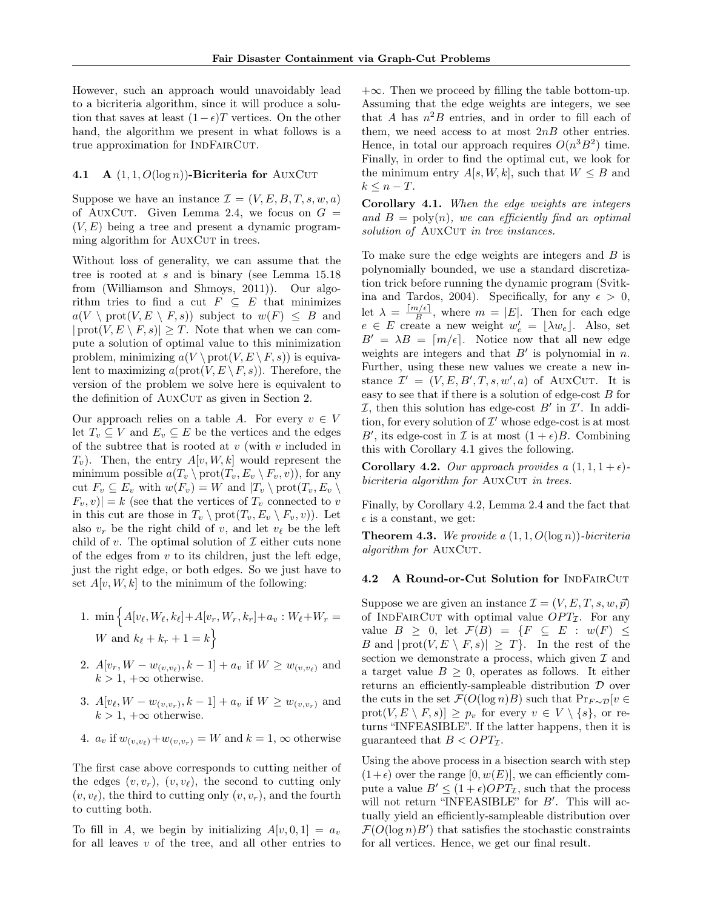However, such an approach would unavoidably lead to a bicriteria algorithm, since it will produce a solution that saves at least  $(1 - \epsilon)T$  vertices. On the other hand, the algorithm we present in what follows is a true approximation for INDFAIRCUT.

#### <span id="page-7-2"></span>4.1 A  $(1, 1, O(\log n))$ -Bicriteria for AUXCUT

Suppose we have an instance  $\mathcal{I} = (V, E, B, T, s, w, a)$ of AUXCUT. Given Lemma [2.4,](#page-3-3) we focus on  $G =$  $(V, E)$  being a tree and present a dynamic programming algorithm for AUXCUT in trees.

Without loss of generality, we can assume that the tree is rooted at s and is binary (see Lemma 15.18 from [\(Williamson and Shmoys, 2011\)](#page-10-0)). Our algorithm tries to find a cut  $F \subseteq E$  that minimizes  $a(V \setminus \text{prot}(V, E \setminus F, s))$  subject to  $w(F) \leq B$  and  $|\text{prot}(V, E \setminus F, s)| \geq T$ . Note that when we can compute a solution of optimal value to this minimization problem, minimizing  $a(V \cdot \text{prot}(V, E \setminus F, s))$  is equivalent to maximizing  $a(\text{prot}(V, E \setminus F, s))$ . Therefore, the version of the problem we solve here is equivalent to the definition of AUXCUT as given in Section [2.](#page-2-0)

Our approach relies on a table A. For every  $v \in V$ let  $T_v \subseteq V$  and  $E_v \subseteq E$  be the vertices and the edges of the subtree that is rooted at  $v$  (with  $v$  included in  $T_v$ ). Then, the entry  $A[v, W, k]$  would represent the minimum possible  $a(T_v \setminus \text{prot}(T_v, E_v \setminus F_v, v))$ , for any cut  $F_v \subseteq E_v$  with  $w(F_v) = W$  and  $|T_v \setminus \text{prot}(T_v, E_v \setminus$  $|F_v, v\rangle = k$  (see that the vertices of  $T_v$  connected to v in this cut are those in  $T_v \setminus \text{prot}(T_v, E_v \setminus F_v, v)$ . Let also  $v_r$  be the right child of v, and let  $v_\ell$  be the left child of v. The optimal solution of  $\mathcal I$  either cuts none of the edges from  $v$  to its children, just the left edge, just the right edge, or both edges. So we just have to set  $A[v, W, k]$  to the minimum of the following:

- 1. min  $\Big\{ A[v_{\ell}, W_{\ell}, k_{\ell}] + A[v_r, W_r, k_r] + a_v : W_{\ell} + W_r = 0 \Big\}$ W and  $k_{\ell} + k_r + 1 = k$
- 2.  $A[v_r, W w_{(v,v_\ell)}, k-1] + a_v$  if  $W \ge w_{(v,v_\ell)}$  and  $k > 1, +\infty$  otherwise.
- 3.  $A[v_{\ell}, W w_{(v,v_r)}, k-1] + a_v$  if  $W \ge w_{(v,v_r)}$  and  $k > 1$ ,  $+\infty$  otherwise.

4. 
$$
a_v
$$
 if  $w_{(v,v_\ell)}+w_{(v,v_r)}=W$  and  $k=1,\infty$  otherwise

The first case above corresponds to cutting neither of the edges  $(v, v_r)$ ,  $(v, v_\ell)$ , the second to cutting only  $(v, v_{\ell})$ , the third to cutting only  $(v, v_r)$ , and the fourth to cutting both.

To fill in A, we begin by initializing  $A[v, 0, 1] = a_v$ for all leaves  $v$  of the tree, and all other entries to  $+\infty$ . Then we proceed by filling the table bottom-up. Assuming that the edge weights are integers, we see that A has  $n^2B$  entries, and in order to fill each of them, we need access to at most  $2nB$  other entries. Hence, in total our approach requires  $O(n^3B^2)$  time. Finally, in order to find the optimal cut, we look for the minimum entry  $A[s, W, k]$ , such that  $W \leq B$  and  $k \leq n - T$ .

<span id="page-7-0"></span>Corollary 4.1. When the edge weights are integers and  $B = \text{poly}(n)$ , we can efficiently find an optimal solution of AUXCUT in tree instances.

To make sure the edge weights are integers and  $B$  is polynomially bounded, we use a standard discretization trick before running the dynamic program [\(Svitk](#page-9-1)[ina and Tardos, 2004\)](#page-9-1). Specifically, for any  $\epsilon > 0$ , let  $\lambda = \frac{\lceil m/\epsilon \rceil}{B}$  $\frac{\partial f(\epsilon)}{\partial B}$ , where  $m = |E|$ . Then for each edge  $e \in E$  create a new weight  $w'_e = \lfloor \lambda w_e \rfloor$ . Also, set  $B' = \lambda B = \lfloor m/\epsilon \rfloor$ . Notice now that all new edge weights are integers and that  $B'$  is polynomial in n. Further, using these new values we create a new instance  $\mathcal{I}' = (V, E, B', T, s, w', a)$  of AUXCUT. It is easy to see that if there is a solution of edge-cost B for  $I$ , then this solution has edge-cost  $B'$  in  $I'$ . In addition, for every solution of  $\mathcal{I}'$  whose edge-cost is at most B', its edge-cost in  $\mathcal I$  is at most  $(1+\epsilon)B$ . Combining this with Corollary [4.1](#page-7-0) gives the following.

<span id="page-7-1"></span>**Corollary 4.2.** Our approach provides a  $(1, 1, 1 + \epsilon)$ bicriteria algorithm for AUXCUT in trees.

Finally, by Corollary [4.2,](#page-7-1) Lemma [2.4](#page-3-3) and the fact that  $\epsilon$  is a constant, we get:

<span id="page-7-3"></span>**Theorem 4.3.** We provide a  $(1, 1, O(\log n))$ -bicriteria algorithm for AUXCUT.

#### 4.2 A Round-or-Cut Solution for INDFAIRCUT

Suppose we are given an instance  $\mathcal{I} = (V, E, T, s, w, \vec{p})$ of INDFAIRCUT with optimal value  $OPT_{\mathcal{I}}$ . For any value  $B \geq 0$ , let  $\mathcal{F}(B) = \{F \subseteq E : w(F) \leq$ B and  $|\text{prot}(V, E \setminus F, s)| \geq T$ . In the rest of the section we demonstrate a process, which given  $\mathcal I$  and a target value  $B \geq 0$ , operates as follows. It either returns an efficiently-sampleable distribution D over the cuts in the set  $\mathcal{F}(O(\log n)B)$  such that  $Pr_{F \sim \mathcal{D}}[v \in$  $\text{prot}(V, E \setminus F, s)] \geq p_v \text{ for every } v \in V \setminus \{s\}, \text{ or re-}$ turns "INFEASIBLE". If the latter happens, then it is guaranteed that  $B < OPT_{\mathcal{I}}$ .

Using the above process in a bisection search with step  $(1+\epsilon)$  over the range [0,  $w(E)$ ], we can efficiently compute a value  $B' \leq (1+\epsilon)OPT_{\mathcal{I}}$ , such that the process will not return "INFEASIBLE" for  $B'$ . This will actually yield an efficiently-sampleable distribution over  $\mathcal{F}(O(\log n)B')$  that satisfies the stochastic constraints for all vertices. Hence, we get our final result.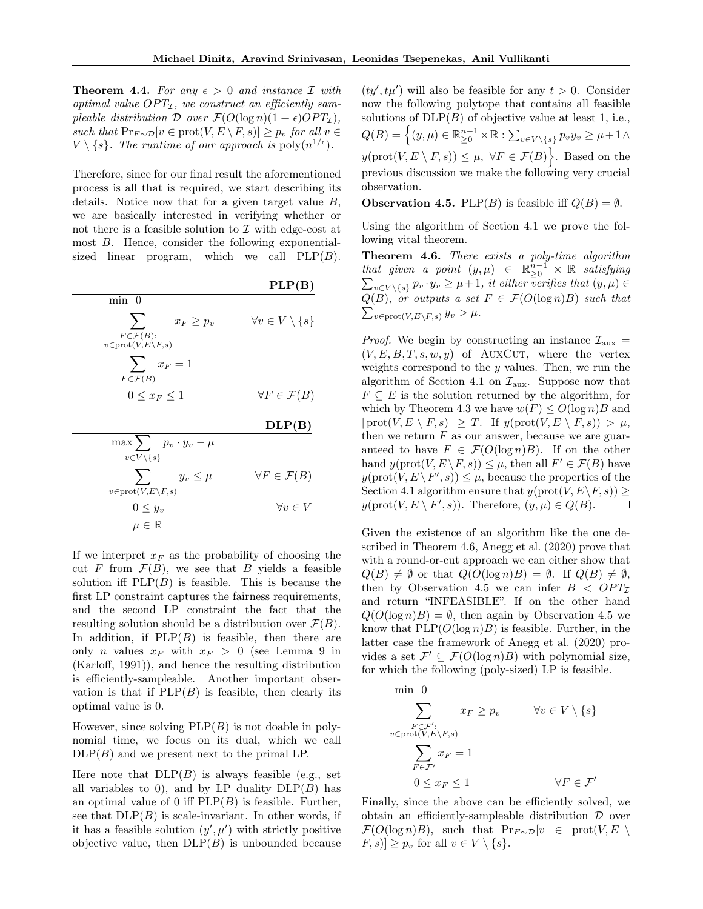**Theorem 4.4.** For any  $\epsilon > 0$  and instance I with optimal value  $OPT_{\mathcal{I}}$ , we construct an efficiently sampleable distribution  $\mathcal D$  over  $\mathcal F(O(\log n)(1+\epsilon)OPT_{\mathcal I}),$ such that  $Pr_{F \sim \mathcal{D}}[v \in \text{prot}(V, E \setminus F, s)] \geq p_v$  for all  $v \in$  $V \setminus \{s\}$ . The runtime of our approach is  $\text{poly}(n^{1/\epsilon})$ .

Therefore, since for our final result the aforementioned process is all that is required, we start describing its details. Notice now that for a given target value  $B$ , we are basically interested in verifying whether or not there is a feasible solution to  $\mathcal I$  with edge-cost at most B. Hence, consider the following exponentialsized linear program, which we call  $PLP(B)$ .

|                                                                                        | PLP(B)                            |
|----------------------------------------------------------------------------------------|-----------------------------------|
| $min \space 0$                                                                         |                                   |
| $x_F \geq p_v$<br>$F \in \mathcal{F}(B)$ :<br>$v \in \text{prot}(V, E \setminus F, s)$ | $\forall v \in V \setminus \{s\}$ |
|                                                                                        |                                   |
| $\sum x_F = 1$<br>$F \in \mathcal{F}(B)$                                               |                                   |
| $0 \leq x_F \leq 1$                                                                    | $\forall F \in \mathcal{F}(B)$    |
|                                                                                        |                                   |

 $DLP(B)$ 

$$
\max \sum_{v \in V \setminus \{s\}} p_v \cdot y_v - \mu
$$
  

$$
\sum_{v \in \text{prot}(V, E \setminus F, s)} y_v \le \mu \qquad \forall F \in \mathcal{F}(B)
$$
  

$$
0 \le y_v \qquad \forall v \in V
$$

$$
0 \leq y_v
$$
  

$$
\mu \in \mathbb{R}
$$

If we interpret  $x_F$  as the probability of choosing the cut F from  $\mathcal{F}(B)$ , we see that B yields a feasible solution iff  $PLP(B)$  is feasible. This is because the first LP constraint captures the fairness requirements, and the second LP constraint the fact that the resulting solution should be a distribution over  $\mathcal{F}(B)$ . In addition, if  $PLP(B)$  is feasible, then there are only *n* values  $x_F$  with  $x_F > 0$  (see Lemma 9 in [\(Karloff, 1991\)](#page-9-21)), and hence the resulting distribution is efficiently-sampleable. Another important observation is that if  $PLP(B)$  is feasible, then clearly its optimal value is 0.

However, since solving  $PLP(B)$  is not doable in polynomial time, we focus on its dual, which we call  $DLP(B)$  and we present next to the primal LP.

Here note that  $DLP(B)$  is always feasible (e.g., set all variables to 0), and by LP duality  $DLP(B)$  has an optimal value of 0 iff  $PLP(B)$  is feasible. Further, see that  $DLP(B)$  is scale-invariant. In other words, if it has a feasible solution  $(y', \mu')$  with strictly positive objective value, then  $DLP(B)$  is unbounded because

 $(ty', t\mu')$  will also be feasible for any  $t > 0$ . Consider now the following polytope that contains all feasible solutions of  $DLP(B)$  of objective value at least 1, i.e.,  $Q(B) = \left\{ (y, \mu) \in \mathbb{R}_{\geq 0}^{n-1} \times \mathbb{R} : \sum_{v \in V \setminus \{s\}} p_v y_v \geq \mu + 1 \wedge \right\}$  $y(\text{prot}(V, E \setminus F, s)) \leq \mu, \ \forall F \in \mathcal{F}(B)$ . Based on the previous discussion we make the following very crucial observation.

<span id="page-8-1"></span>**Observation 4.5.** PLP(*B*) is feasible iff  $Q(B) = \emptyset$ .

Using the algorithm of Section [4.1](#page-7-2) we prove the following vital theorem.

<span id="page-8-0"></span>Theorem 4.6. There exists a poly-time algorithm that given a point  $(y,\mu) \in \mathbb{R}_{\geq 0}^{n-1}$ P  $\frac{n-1}{\geq 0}$  × R satisfying  $v \in V \setminus \{s\}$   $p_v \cdot y_v \geq \mu + 1$ , it either verifies that  $(y, \mu) \in$  $Q(B)$ , or outputs a set  $F \in \mathcal{F}(O(\log n)B)$  such that  $\sum_{v \in \text{prot}(V, E \setminus F, s)} y_v > \mu.$ 

*Proof.* We begin by constructing an instance  $\mathcal{I}_{\text{aux}}$  $(V, E, B, T, s, w, y)$  of AUXCUT, where the vertex weights correspond to the  $y$  values. Then, we run the algorithm of Section [4.1](#page-7-2) on  $\mathcal{I}_{\text{aux}}$ . Suppose now that  $F \subseteq E$  is the solution returned by the algorithm, for which by Theorem [4.3](#page-7-3) we have  $w(F) \le O(\log n)B$  and  $|\text{prot}(V, E \setminus F, s)| \geq T$ . If  $y(\text{prot}(V, E \setminus F, s)) > \mu$ , then we return  $F$  as our answer, because we are guaranteed to have  $F \in \mathcal{F}(O(\log n)B)$ . If on the other hand  $y(\text{prot}(V, E \setminus F, s)) \leq \mu$ , then all  $F' \in \mathcal{F}(B)$  have  $y(\text{prot}(V, E \setminus F', s)) \leq \mu$ , because the properties of the Section [4.1](#page-7-2) algorithm ensure that  $y(\text{prot}(V, E \backslash F, s))$  ≥  $y(\text{prot}(V, E \setminus F', s))$ . Therefore,  $(y, \mu) \in Q(B)$ .  $\Box$ 

Given the existence of an algorithm like the one described in Theorem [4.6,](#page-8-0) [Anegg et al.](#page-9-4) [\(2020\)](#page-9-4) prove that with a round-or-cut approach we can either show that  $Q(B) \neq \emptyset$  or that  $Q(O(\log n)B) = \emptyset$ . If  $Q(B) \neq \emptyset$ , then by Observation [4.5](#page-8-1) we can infer  $B < OPT_{\mathcal{I}}$ and return "INFEASIBLE". If on the other hand  $Q(O(\log n)B) = \emptyset$ , then again by Observation [4.5](#page-8-1) we know that  $PLP(O(\log n)B)$  is feasible. Further, in the latter case the framework of [Anegg et al.](#page-9-4) [\(2020\)](#page-9-4) provides a set  $\mathcal{F}' \subseteq \mathcal{F}(O(\log n)B)$  with polynomial size, for which the following (poly-sized) LP is feasible.

$$
\min \ 0
$$
\n
$$
\sum_{F \in \mathcal{F}': \ v \in \text{prot}(V, E \setminus F, s)} x_F \ge p_v \qquad \forall v \in V \setminus \{s\}
$$
\n
$$
\sum_{F \in \mathcal{F}'} x_F = 1
$$
\n
$$
0 \le x_F \le 1 \qquad \forall F \in \mathcal{F}'
$$

Finally, since the above can be efficiently solved, we obtain an efficiently-sampleable distribution  $\mathcal D$  over  $\mathcal{F}(O(\log n)B)$ , such that  $\Pr_{F \sim \mathcal{D}}[v \in \text{prot}(V, E)]$  $[F, s] \geq p_v$  for all  $v \in V \setminus \{s\}.$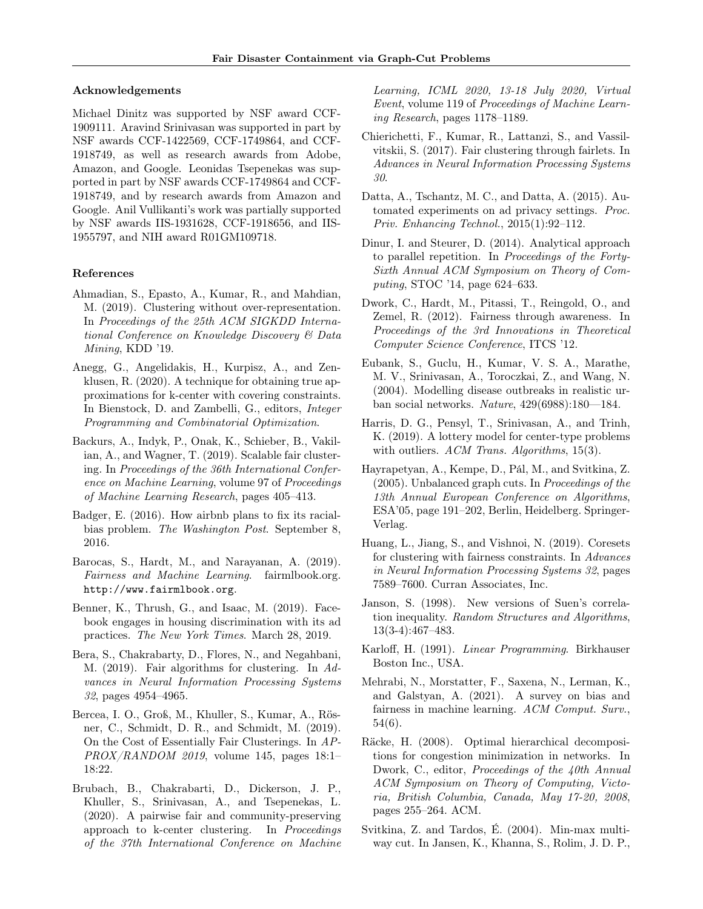#### Acknowledgements

Michael Dinitz was supported by NSF award CCF-1909111. Aravind Srinivasan was supported in part by NSF awards CCF-1422569, CCF-1749864, and CCF-1918749, as well as research awards from Adobe, Amazon, and Google. Leonidas Tsepenekas was supported in part by NSF awards CCF-1749864 and CCF-1918749, and by research awards from Amazon and Google. Anil Vullikanti's work was partially supported by NSF awards IIS-1931628, CCF-1918656, and IIS-1955797, and NIH award R01GM109718.

#### References

- <span id="page-9-14"></span>Ahmadian, S., Epasto, A., Kumar, R., and Mahdian, M. (2019). Clustering without over-representation. In Proceedings of the 25th ACM SIGKDD International Conference on Knowledge Discovery & Data Mining, KDD '19.
- <span id="page-9-4"></span>Anegg, G., Angelidakis, H., Kurpisz, A., and Zenklusen, R. (2020). A technique for obtaining true approximations for k-center with covering constraints. In Bienstock, D. and Zambelli, G., editors, Integer Programming and Combinatorial Optimization.
- <span id="page-9-13"></span>Backurs, A., Indyk, P., Onak, K., Schieber, B., Vakilian, A., and Wagner, T. (2019). Scalable fair clustering. In Proceedings of the 36th International Conference on Machine Learning, volume 97 of Proceedings of Machine Learning Research, pages 405–413.
- <span id="page-9-6"></span>Badger, E. (2016). How airbnb plans to fix its racialbias problem. The Washington Post. September 8, 2016.
- <span id="page-9-17"></span>Barocas, S., Hardt, M., and Narayanan, A. (2019). Fairness and Machine Learning. fairmlbook.org. <http://www.fairmlbook.org>.
- <span id="page-9-8"></span>Benner, K., Thrush, G., and Isaac, M. (2019). Facebook engages in housing discrimination with its ad practices. The New York Times. March 28, 2019.
- <span id="page-9-11"></span>Bera, S., Chakrabarty, D., Flores, N., and Negahbani, M. (2019). Fair algorithms for clustering. In Advances in Neural Information Processing Systems 32, pages 4954–4965.
- <span id="page-9-10"></span>Bercea, I. O., Groß, M., Khuller, S., Kumar, A., Rösner, C., Schmidt, D. R., and Schmidt, M. (2019). On the Cost of Essentially Fair Clusterings. In AP- $PROX/RANDOM$  2019, volume 145, pages 18:1-18:22.
- <span id="page-9-15"></span>Brubach, B., Chakrabarti, D., Dickerson, J. P., Khuller, S., Srinivasan, A., and Tsepenekas, L. (2020). A pairwise fair and community-preserving approach to k-center clustering. In Proceedings of the 37th International Conference on Machine

Learning, ICML 2020, 13-18 July 2020, Virtual Event, volume 119 of Proceedings of Machine Learning Research, pages 1178–1189.

- <span id="page-9-9"></span>Chierichetti, F., Kumar, R., Lattanzi, S., and Vassilvitskii, S. (2017). Fair clustering through fairlets. In Advances in Neural Information Processing Systems 30.
- <span id="page-9-7"></span>Datta, A., Tschantz, M. C., and Datta, A. (2015). Automated experiments on ad privacy settings. Proc. Priv. Enhancing Technol., 2015(1):92–112.
- <span id="page-9-20"></span>Dinur, I. and Steurer, D. (2014). Analytical approach to parallel repetition. In Proceedings of the Forty-Sixth Annual ACM Symposium on Theory of Computing, STOC '14, page 624–633.
- <span id="page-9-16"></span>Dwork, C., Hardt, M., Pitassi, T., Reingold, O., and Zemel, R. (2012). Fairness through awareness. In Proceedings of the 3rd Innovations in Theoretical Computer Science Conference, ITCS '12.
- <span id="page-9-2"></span>Eubank, S., Guclu, H., Kumar, V. S. A., Marathe, M. V., Srinivasan, A., Toroczkai, Z., and Wang, N. (2004). Modelling disease outbreaks in realistic urban social networks. Nature, 429(6988):180—184.
- <span id="page-9-3"></span>Harris, D. G., Pensyl, T., Srinivasan, A., and Trinh, K. (2019). A lottery model for center-type problems with outliers. ACM Trans. Algorithms, 15(3).
- <span id="page-9-0"></span>Hayrapetyan, A., Kempe, D., Pál, M., and Svitkina, Z. (2005). Unbalanced graph cuts. In Proceedings of the 13th Annual European Conference on Algorithms, ESA'05, page 191–202, Berlin, Heidelberg. Springer-Verlag.
- <span id="page-9-12"></span>Huang, L., Jiang, S., and Vishnoi, N. (2019). Coresets for clustering with fairness constraints. In Advances in Neural Information Processing Systems 32, pages 7589–7600. Curran Associates, Inc.
- <span id="page-9-19"></span>Janson, S. (1998). New versions of Suen's correlation inequality. Random Structures and Algorithms, 13(3-4):467–483.
- <span id="page-9-21"></span>Karloff, H. (1991). Linear Programming. Birkhauser Boston Inc., USA.
- <span id="page-9-18"></span>Mehrabi, N., Morstatter, F., Saxena, N., Lerman, K., and Galstyan, A. (2021). A survey on bias and fairness in machine learning. ACM Comput. Surv., 54(6).
- <span id="page-9-5"></span>Räcke, H. (2008). Optimal hierarchical decompositions for congestion minimization in networks. In Dwork, C., editor, *Proceedings of the 40th Annual* ACM Symposium on Theory of Computing, Victoria, British Columbia, Canada, May 17-20, 2008, pages 255–264. ACM.
- <span id="page-9-1"></span>Svitkina, Z. and Tardos, É. (2004). Min-max multiway cut. In Jansen, K., Khanna, S., Rolim, J. D. P.,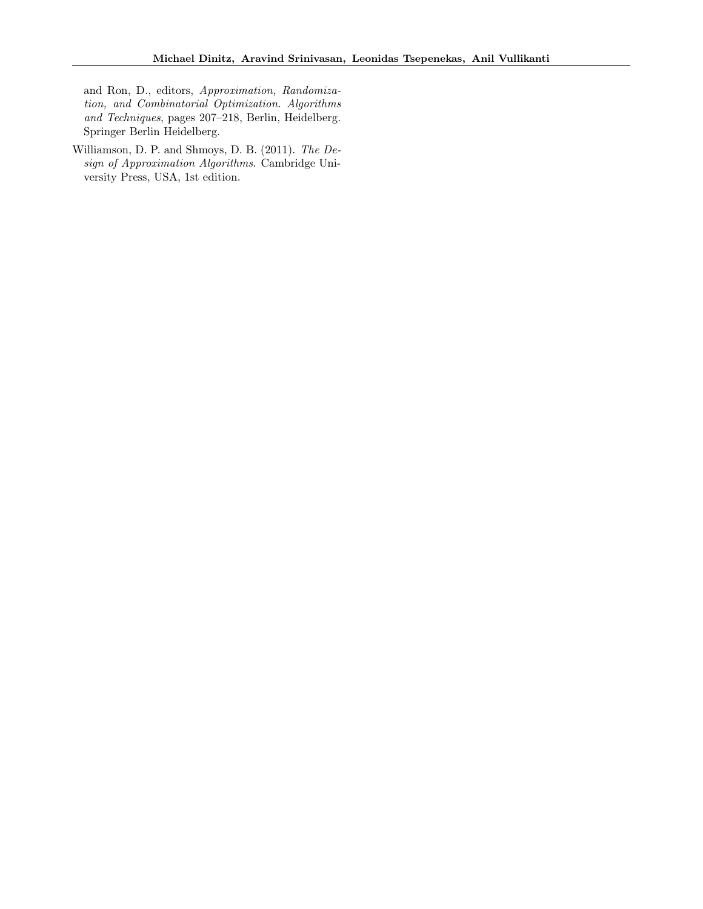and Ron, D., editors, Approximation, Randomization, and Combinatorial Optimization. Algorithms and Techniques, pages 207–218, Berlin, Heidelberg. Springer Berlin Heidelberg.

<span id="page-10-0"></span>Williamson, D. P. and Shmoys, D. B. (2011). The Design of Approximation Algorithms. Cambridge University Press, USA, 1st edition.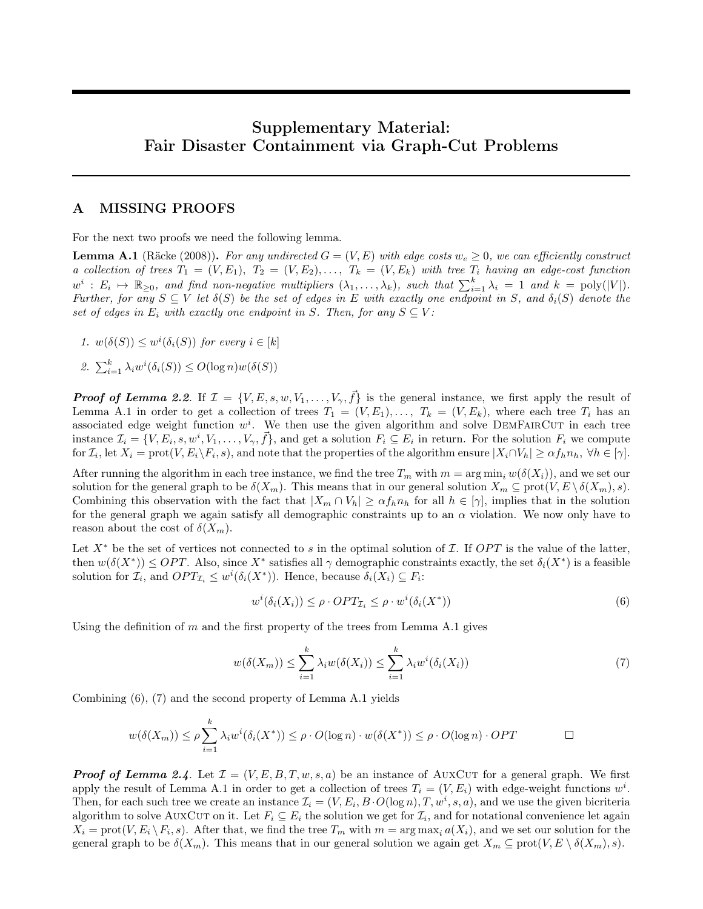# Supplementary Material: Fair Disaster Containment via Graph-Cut Problems

# <span id="page-11-0"></span>A MISSING PROOFS

For the next two proofs we need the following lemma.

<span id="page-11-1"></span>**Lemma A.1** [\(Räcke](#page-9-5) [\(2008\)](#page-9-5)). For any undirected  $G = (V, E)$  with edge costs  $w_e \ge 0$ , we can efficiently construct a collection of trees  $T_1 = (V, E_1), T_2 = (V, E_2), \ldots, T_k = (V, E_k)$  with tree  $T_i$  having an edge-cost function  $w^i : E_i \mapsto \mathbb{R}_{\geq 0}$ , and find non-negative multipliers  $(\lambda_1, \ldots, \lambda_k)$ , such that  $\sum_{i=1}^k \lambda_i = 1$  and  $k = \text{poly}(|V|)$ . Further, for any  $S \subseteq V$  let  $\delta(S)$  be the set of edges in E with exactly one endpoint in S, and  $\delta_i(S)$  denote the set of edges in  $E_i$  with exactly one endpoint in S. Then, for any  $S \subseteq V$ :

- 1.  $w(\delta(S)) \leq w^{i}(\delta_{i}(S))$  for every  $i \in [k]$
- 2.  $\sum_{i=1}^k \lambda_i w^i(\delta_i(S)) \le O(\log n)w(\delta(S))$

**Proof of Lemma [2.2](#page-3-1).** If  $\mathcal{I} = \{V, E, s, w, V_1, \ldots, V_{\gamma}, \vec{f}\}$  is the general instance, we first apply the result of Lemma [A.1](#page-11-1) in order to get a collection of trees  $T_1 = (V, E_1), \ldots, T_k = (V, E_k)$ , where each tree  $T_i$  has an associated edge weight function  $w^i$ . We then use the given algorithm and solve DEMFAIRCUT in each tree instance  $\mathcal{I}_i = \{V, E_i, s, w^i, V_1, \ldots, V_\gamma, \vec{f}\}$ , and get a solution  $F_i \subseteq E_i$  in return. For the solution  $F_i$  we compute for  $\mathcal{I}_i$ , let  $X_i = \text{prot}(V, E_i \setminus F_i, s)$ , and note that the properties of the algorithm ensure  $|X_i \cap V_h| \ge \alpha f_h n_h$ ,  $\forall h \in [\gamma]$ .

After running the algorithm in each tree instance, we find the tree  $T_m$  with  $m = \arg \min_i w(\delta(X_i))$ , and we set our solution for the general graph to be  $\delta(X_m)$ . This means that in our general solution  $X_m \subseteq \text{prot}(V, E \setminus \delta(X_m), s)$ . Combining this observation with the fact that  $|X_m \cap V_h| \ge \alpha f_h n_h$  for all  $h \in [\gamma]$ , implies that in the solution for the general graph we again satisfy all demographic constraints up to an  $\alpha$  violation. We now only have to reason about the cost of  $\delta(X_m)$ .

Let  $X^*$  be the set of vertices not connected to s in the optimal solution of I. If OPT is the value of the latter, then  $w(\delta(X^*)) \leq OPT$ . Also, since  $X^*$  satisfies all  $\gamma$  demographic constraints exactly, the set  $\delta_i(X^*)$  is a feasible solution for  $\mathcal{I}_i$ , and  $OPT_{\mathcal{I}_i} \leq w^i(\delta_i(X^*))$ . Hence, because  $\delta_i(X_i) \subseteq F_i$ :

<span id="page-11-3"></span><span id="page-11-2"></span>
$$
w^{i}(\delta_{i}(X_{i})) \leq \rho \cdot OPT_{\mathcal{I}_{i}} \leq \rho \cdot w^{i}(\delta_{i}(X^{*})) \tag{6}
$$

Using the definition of m and the first property of the trees from Lemma [A.1](#page-11-1) gives

$$
w(\delta(X_m)) \le \sum_{i=1}^k \lambda_i w(\delta(X_i)) \le \sum_{i=1}^k \lambda_i w^i(\delta_i(X_i))
$$
\n<sup>(7)</sup>

Combining [\(6\)](#page-11-2), [\(7\)](#page-11-3) and the second property of Lemma [A.1](#page-11-1) yields

$$
w(\delta(X_m)) \le \rho \sum_{i=1}^k \lambda_i w^i(\delta_i(X^*)) \le \rho \cdot O(\log n) \cdot w(\delta(X^*)) \le \rho \cdot O(\log n) \cdot OPT \qquad \Box
$$

**Proof of Lemma [2.4](#page-3-3).** Let  $\mathcal{I} = (V, E, B, T, w, s, a)$  be an instance of AUXCUT for a general graph. We first apply the result of Lemma [A.1](#page-11-1) in order to get a collection of trees  $T_i = (V, E_i)$  with edge-weight functions  $w^i$ . Then, for each such tree we create an instance  $\mathcal{I}_i = (V, E_i, B \cdot O(\log n), T, w^i, s, a)$ , and we use the given bicriteria algorithm to solve AUXCUT on it. Let  $F_i \subseteq E_i$  the solution we get for  $\mathcal{I}_i$ , and for notational convenience let again  $X_i = \text{prot}(V, E_i \setminus F_i, s)$ . After that, we find the tree  $T_m$  with  $m = \arg \max_i a(X_i)$ , and we set our solution for the general graph to be  $\delta(X_m)$ . This means that in our general solution we again get  $X_m \subseteq \text{prot}(V, E \setminus \delta(X_m), s)$ .